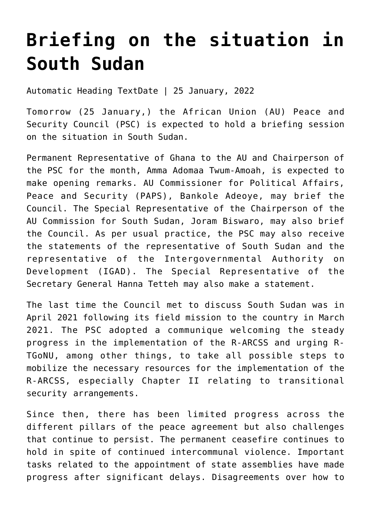## **[Briefing on the situation in](https://amaniafrica-et.org/briefing-on-the-situation-in-south-sudan-3/) [South Sudan](https://amaniafrica-et.org/briefing-on-the-situation-in-south-sudan-3/)**

Automatic Heading TextDate | 25 January, 2022

Tomorrow (25 January,) the African Union (AU) Peace and Security Council (PSC) is expected to hold a briefing session on the situation in South Sudan.

Permanent Representative of Ghana to the AU and Chairperson of the PSC for the month, Amma Adomaa Twum-Amoah, is expected to make opening remarks. AU Commissioner for Political Affairs, Peace and Security (PAPS), Bankole Adeoye, may brief the Council. The Special Representative of the Chairperson of the AU Commission for South Sudan, Joram Biswaro, may also brief the Council. As per usual practice, the PSC may also receive the statements of the representative of South Sudan and the representative of the Intergovernmental Authority on Development (IGAD). The Special Representative of the Secretary General Hanna Tetteh may also make a statement.

The last time the Council met to discuss South Sudan was in April 2021 following its field mission to the country in March 2021. The PSC adopted a communique welcoming the steady progress in the implementation of the R-ARCSS and urging R-TGoNU, among other things, to take all possible steps to mobilize the necessary resources for the implementation of the R-ARCSS, especially Chapter II relating to transitional security arrangements.

Since then, there has been limited progress across the different pillars of the peace agreement but also challenges that continue to persist. The permanent ceasefire continues to hold in spite of continued intercommunal violence. Important tasks related to the appointment of state assemblies have made progress after significant delays. Disagreements over how to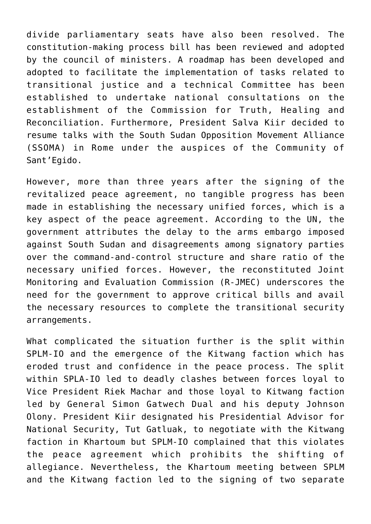divide parliamentary seats have also been resolved. The constitution-making process bill has been reviewed and adopted by the council of ministers. A roadmap has been developed and adopted to facilitate the implementation of tasks related to transitional justice and a technical Committee has been established to undertake national consultations on the establishment of the Commission for Truth, Healing and Reconciliation. Furthermore, President Salva Kiir decided to resume talks with the South Sudan Opposition Movement Alliance (SSOMA) in Rome under the auspices of the Community of Sant'Egido.

However, more than three years after the signing of the revitalized peace agreement, no tangible progress has been made in establishing the necessary unified forces, which is a key aspect of the peace agreement. According to the UN, the government attributes the delay to the arms embargo imposed against South Sudan and disagreements among signatory parties over the command-and-control structure and share ratio of the necessary unified forces. However, the reconstituted Joint Monitoring and Evaluation Commission (R-JMEC) underscores the need for the government to approve critical bills and avail the necessary resources to complete the transitional security arrangements.

What complicated the situation further is the split within SPLM-IO and the emergence of the Kitwang faction which has eroded trust and confidence in the peace process. The split within SPLA-IO led to deadly clashes between forces loyal to Vice President Riek Machar and those loyal to Kitwang faction led by General Simon Gatwech Dual and his deputy Johnson Olony. President Kiir designated his Presidential Advisor for National Security, Tut Gatluak, to negotiate with the Kitwang faction in Khartoum but SPLM-IO complained that this violates the peace agreement which prohibits the shifting of allegiance. Nevertheless, the Khartoum meeting between SPLM and the Kitwang faction led to the signing of two separate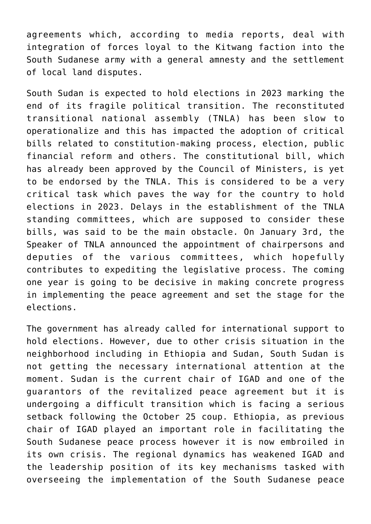agreements which, according to media reports, deal with integration of forces loyal to the Kitwang faction into the South Sudanese army with a general amnesty and the settlement of local land disputes.

South Sudan is expected to hold elections in 2023 marking the end of its fragile political transition. The reconstituted transitional national assembly (TNLA) has been slow to operationalize and this has impacted the adoption of critical bills related to constitution-making process, election, public financial reform and others. The constitutional bill, which has already been approved by the Council of Ministers, is yet to be endorsed by the TNLA. This is considered to be a very critical task which paves the way for the country to hold elections in 2023. Delays in the establishment of the TNLA standing committees, which are supposed to consider these bills, was said to be the main obstacle. On January 3rd, the Speaker of TNLA announced the appointment of chairpersons and deputies of the various committees, which hopefully contributes to expediting the legislative process. The coming one year is going to be decisive in making concrete progress in implementing the peace agreement and set the stage for the elections.

The government has already called for international support to hold elections. However, due to other crisis situation in the neighborhood including in Ethiopia and Sudan, South Sudan is not getting the necessary international attention at the moment. Sudan is the current chair of IGAD and one of the guarantors of the revitalized peace agreement but it is undergoing a difficult transition which is facing a serious setback following the October 25 coup. Ethiopia, as previous chair of IGAD played an important role in facilitating the South Sudanese peace process however it is now embroiled in its own crisis. The regional dynamics has weakened IGAD and the leadership position of its key mechanisms tasked with overseeing the implementation of the South Sudanese peace